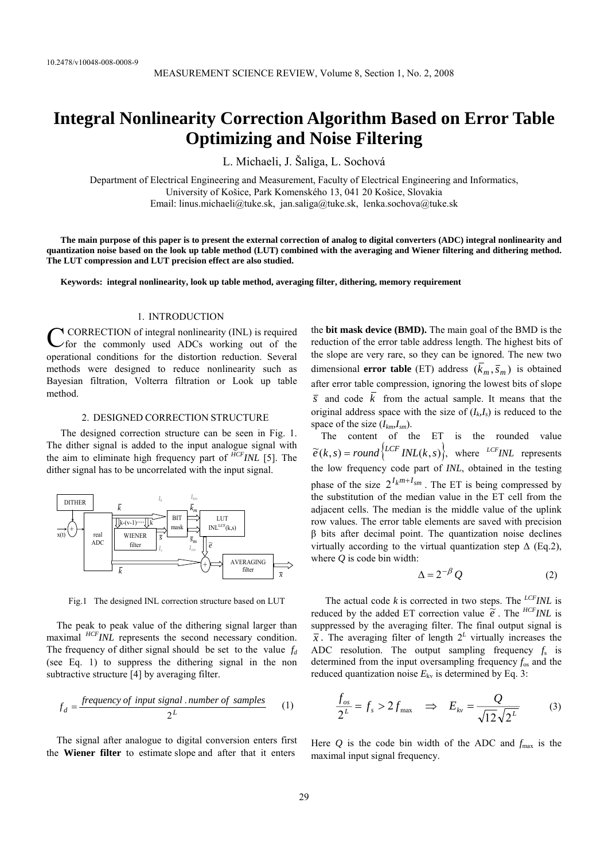# **Integral Nonlinearity Correction Algorithm Based on Error Table Optimizing and Noise Filtering**

L. Michaeli, J. Šaliga, L. Sochová

Department of Electrical Engineering and Measurement, Faculty of Electrical Engineering and Informatics, University of Košice, Park Komenského 13, 041 20 Košice, Slovakia Email: linus.michaeli@tuke.sk, jan.saliga@tuke.sk, lenka.sochova@tuke.sk

**The main purpose of this paper is to present the external correction of analog to digital converters (ADC) integral nonlinearity and quantization noise based on the look up table method (LUT) combined with the averaging and Wiener filtering and dithering method. The LUT compression and LUT precision effect are also studied.** 

**Keywords: integral nonlinearity, look up table method, averaging filter, dithering, memory requirement** 

## 1. INTRODUCTION

 CORRECTION of integral nonlinearity (INL) is required CORRECTION of integral nonlinearity (INL) is required<br>for the commonly used ADCs working out of the operational conditions for the distortion reduction. Several methods were designed to reduce nonlinearity such as Bayesian filtration, Volterra filtration or Look up table method.

#### 2. DESIGNED CORRECTION STRUCTURE

The designed correction structure can be seen in Fig. 1. The dither signal is added to the input analogue signal with the aim to eliminate high frequency part of *HCFINL* [5]. The dither signal has to be uncorrelated with the input signal.



Fig.1 The designed INL correction structure based on LUT

The peak to peak value of the dithering signal larger than maximal <sup>*HCFINL* represents the second necessary condition.</sup> The frequency of dither signal should be set to the value  $f_d$ (see Eq. 1) to suppress the dithering signal in the non subtractive structure [4] by averaging filter.

$$
f_d = \frac{frequency \ of \ input \ signal \ . \ number \ of \ samples}{2^L} \tag{1}
$$

The signal after analogue to digital conversion enters first the **Wiener filter** to estimate slope and after that it enters

the **bit mask device (BMD).** The main goal of the BMD is the reduction of the error table address length. The highest bits of the slope are very rare, so they can be ignored. The new two dimensional **error table** (ET) address  $(\overline{k}_m, \overline{s}_m)$  is obtained after error table compression, ignoring the lowest bits of slope  $\overline{s}$  and code  $\overline{k}$  from the actual sample. It means that the original address space with the size of  $(I_k, I_s)$  is reduced to the space of the size (*Ikm,Ism*).

The content of the ET is the rounded value  $\widetilde{e}(k, s) = round\left\{LCFINL(k, s)\right\}$ , where *LCFINL* represents the low frequency code part of *INL*, obtained in the testing phase of the size  $2^{I_k m + I_{sm}}$ . The ET is being compressed by the substitution of the median value in the ET cell from the adjacent cells. The median is the middle value of the uplink row values. The error table elements are saved with precision β bits after decimal point. The quantization noise declines virtually according to the virtual quantization step  $\Delta$  (Eq.2), where *Q* is code bin width:

$$
\Delta = 2^{-\beta} Q \tag{2}
$$

The actual code *k* is corrected in two steps. The *LCFINL* is reduced by the added ET correction value  $\tilde{e}$ . The *HCFINL* is suppressed by the averaging filter. The final output signal is  $\overline{x}$ . The averaging filter of length  $2^L$  virtually increases the ADC resolution. The output sampling frequency  $f_s$  is determined from the input oversampling frequency *f*os and the reduced quantization noise  $E_{kv}$  is determined by Eq. 3:

$$
\frac{f_{os}}{2^L} = f_s > 2f_{\text{max}} \quad \Rightarrow \quad E_{kv} = \frac{Q}{\sqrt{12}\sqrt{2^L}} \tag{3}
$$

Here  $Q$  is the code bin width of the ADC and  $f_{\text{max}}$  is the maximal input signal frequency.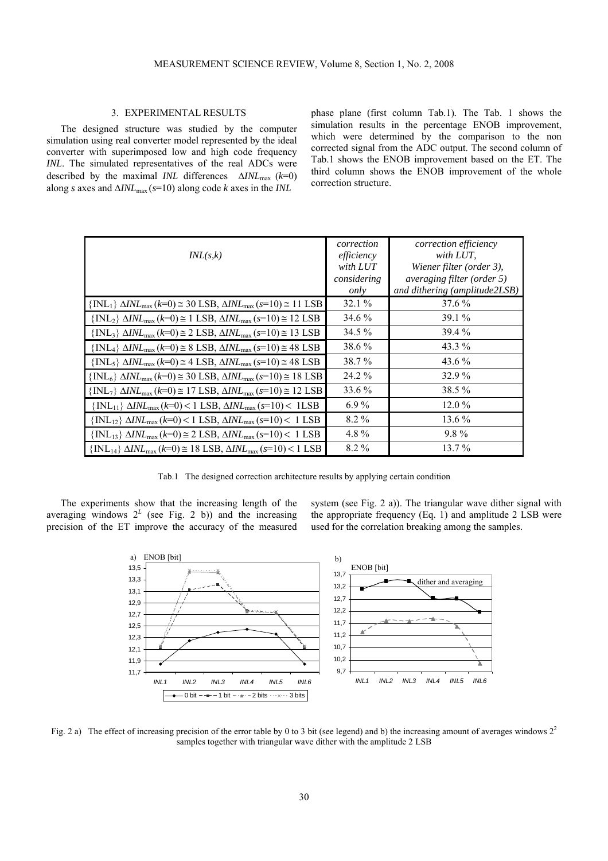## 3. EXPERIMENTAL RESULTS

The designed structure was studied by the computer simulation using real converter model represented by the ideal converter with superimposed low and high code frequency *INL*. The simulated representatives of the real ADCs were described by the maximal *INL* differences ∆*INL*max (*k*=0) along *s* axes and ∆*INL*max (*s*=10) along code *k* axes in the *INL* 

phase plane (first column Tab.1)*.* The Tab. 1 shows the simulation results in the percentage ENOB improvement, which were determined by the comparison to the non corrected signal from the ADC output. The second column of Tab.1 shows the ENOB improvement based on the ET. The third column shows the ENOB improvement of the whole correction structure.

|                                                                                                                 | correction  | correction efficiency         |
|-----------------------------------------------------------------------------------------------------------------|-------------|-------------------------------|
| INL(s,k)                                                                                                        | efficiency  | with LUT.                     |
|                                                                                                                 | with LUT    | Wiener filter (order 3),      |
|                                                                                                                 | considering | averaging filter (order 5)    |
|                                                                                                                 | only        | and dithering (amplitude2LSB) |
| $\{INL_1\}$ $\Delta INL_{\text{max}}$ $(k=0) \approx 30$ LSB, $\Delta INL_{\text{max}}$ $(s=10) \approx 11$ LSB | 32.1%       | 37.6 %                        |
| $\{INL_2\}$ $\Delta INL_{\text{max}}$ $(k=0) \approx 1$ LSB, $\Delta INL_{\text{max}}$ $(s=10) \approx 12$ LSB  | 34.6 %      | $39.1\%$                      |
| $\{INL_3\}$ $\Delta INL_{max}$ (k=0) $\cong$ 2 LSB, $\Delta INL_{max}$ (s=10) $\cong$ 13 LSB                    | $34.5\%$    | 39.4 %                        |
| $\{INL_4\}$ $\Delta INL_{max}$ $(k=0) \cong 8$ LSB, $\Delta INL_{max}$ $(s=10) \cong 48$ LSB                    | 38.6%       | 43.3 %                        |
| $\{INL_5\}$ $\Delta INL_{\text{max}}$ $(k=0) \approx 4$ LSB, $\Delta INL_{\text{max}}$ $(s=10) \approx 48$ LSB  | 38.7%       | 43.6 %                        |
| $\{INL_6\}$ $\Delta INL_{\text{max}}$ $(k=0) \approx 30$ LSB, $\Delta INL_{\text{max}}$ $(s=10) \approx 18$ LSB | 24.2 %      | 32.9 %                        |
| $\{INL_7\}$ $\Delta INL_{\text{max}}$ (k=0) $\approx$ 17 LSB, $\Delta INL_{\text{max}}$ (s=10) $\approx$ 12 LSB | 33.6 %      | 38.5 %                        |
| $\{INL_{11}\}\Delta INL_{\text{max}}(k=0) < 1$ LSB, $\Delta INL_{\text{max}}(s=10) < 1$ LSB                     | $6.9\%$     | $12.0\%$                      |
| $\{INL_{12}\}\Delta INL_{\text{max}}(k=0) < 1$ LSB, $\Delta INL_{\text{max}}(s=10) < 1$ LSB                     | $8.2\%$     | 13.6 %                        |
| $\{INL_{13}\}\Delta INL_{\text{max}}(k=0) \cong 2$ LSB, $\Delta INL_{\text{max}}(s=10) < 1$ LSB                 | 4.8%        | $9.8\%$                       |
| $\{INL_{14}\}\Delta INL_{\text{max}}(k=0) \approx 18$ LSB, $\Delta INL_{\text{max}}(s=10) < 1$ LSB              | $8.2\%$     | $13.7\%$                      |

Tab.1 The designed correction architecture results by applying certain condition

The experiments show that the increasing length of the averaging windows  $2^L$  (see Fig. 2 b)) and the increasing precision of the ET improve the accuracy of the measured

system (see Fig. 2 a)). The triangular wave dither signal with the appropriate frequency (Eq. 1) and amplitude 2 LSB were used for the correlation breaking among the samples.



Fig. 2 a) The effect of increasing precision of the error table by 0 to 3 bit (see legend) and b) the increasing amount of averages windows  $2<sup>2</sup>$ samples together with triangular wave dither with the amplitude 2 LSB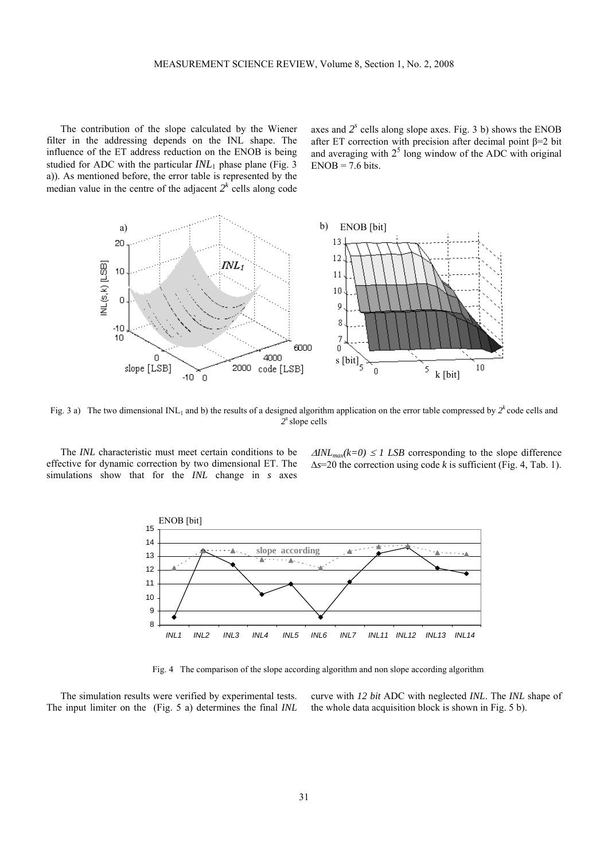The contribution of the slope calculated by the Wiener filter in the addressing depends on the INL shape. The influence of the ET address reduction on the ENOB is being studied for ADC with the particular  $INL<sub>1</sub>$  phase plane (Fig. 3) a)). As mentioned before, the error table is represented by the median value in the centre of the adjacent  $2<sup>k</sup>$  cells along code axes and  $2<sup>s</sup>$  cells along slope axes. Fig. 3 b) shows the ENOB after ET correction with precision after decimal point  $\beta = 2$  bit and averaging with  $2<sup>5</sup>$  long window of the ADC with original  $ENOB = 7.6$  bits.



Fig. 3 a) The two dimensional INL<sub>1</sub> and b) the results of a designed algorithm application on the error table compressed by  $2^k$  code cells and *2s* slope cells

The *INL* characteristic must meet certain conditions to be effective for dynamic correction by two dimensional ET. The simulations show that for the *INL* change in *s* axes  $\Delta INL_{max}(k=0) \leq 1$  *LSB* corresponding to the slope difference ∆*s*=20 the correction using code *k* is sufficient (Fig. 4, Tab. 1).



Fig. 4 The comparison of the slope according algorithm and non slope according algorithm

The simulation results were verified by experimental tests. The input limiter on the (Fig. 5 a) determines the final *INL* curve with *12 bit* ADC with neglected *INL*. The *INL* shape of the whole data acquisition block is shown in Fig. 5 b).